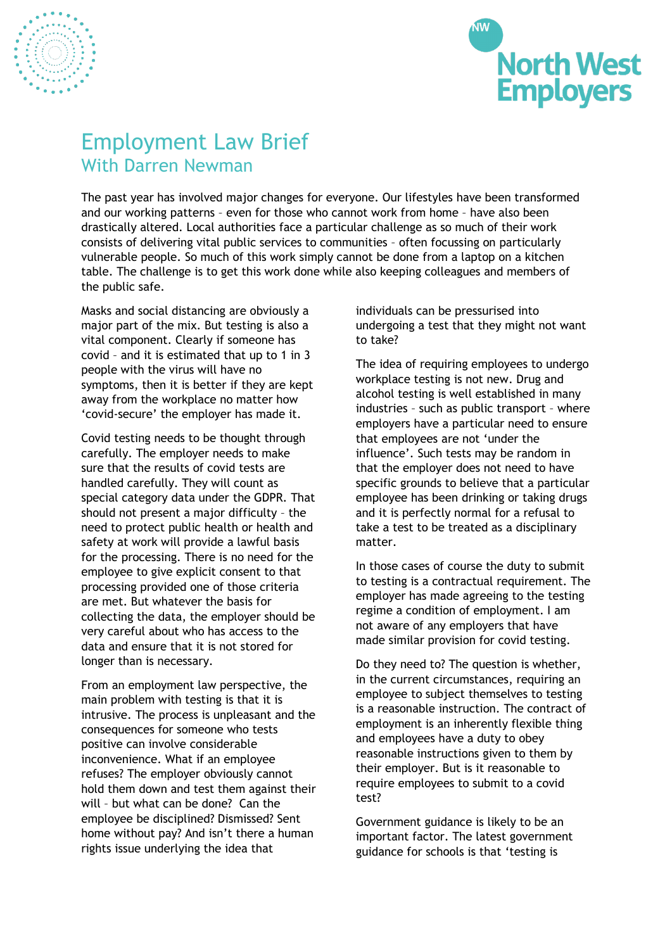



## Employment Law Brief With Darren Newman

The past year has involved major changes for everyone. Our lifestyles have been transformed and our working patterns – even for those who cannot work from home – have also been drastically altered. Local authorities face a particular challenge as so much of their work consists of delivering vital public services to communities – often focussing on particularly vulnerable people. So much of this work simply cannot be done from a laptop on a kitchen table. The challenge is to get this work done while also keeping colleagues and members of the public safe.

Masks and social distancing are obviously a major part of the mix. But testing is also a vital component. Clearly if someone has covid – and it is estimated that up to 1 in 3 people with the virus will have no symptoms, then it is better if they are kept away from the workplace no matter how 'covid-secure' the employer has made it.

Covid testing needs to be thought through carefully. The employer needs to make sure that the results of covid tests are handled carefully. They will count as special category data under the GDPR. That should not present a major difficulty – the need to protect public health or health and safety at work will provide a lawful basis for the processing. There is no need for the employee to give explicit consent to that processing provided one of those criteria are met. But whatever the basis for collecting the data, the employer should be very careful about who has access to the data and ensure that it is not stored for longer than is necessary.

From an employment law perspective, the main problem with testing is that it is intrusive. The process is unpleasant and the consequences for someone who tests positive can involve considerable inconvenience. What if an employee refuses? The employer obviously cannot hold them down and test them against their will – but what can be done? Can the employee be disciplined? Dismissed? Sent home without pay? And isn't there a human rights issue underlying the idea that

individuals can be pressurised into undergoing a test that they might not want to take?

The idea of requiring employees to undergo workplace testing is not new. Drug and alcohol testing is well established in many industries – such as public transport – where employers have a particular need to ensure that employees are not 'under the influence'. Such tests may be random in that the employer does not need to have specific grounds to believe that a particular employee has been drinking or taking drugs and it is perfectly normal for a refusal to take a test to be treated as a disciplinary matter.

In those cases of course the duty to submit to testing is a contractual requirement. The employer has made agreeing to the testing regime a condition of employment. I am not aware of any employers that have made similar provision for covid testing.

Do they need to? The question is whether, in the current circumstances, requiring an employee to subject themselves to testing is a reasonable instruction. The contract of employment is an inherently flexible thing and employees have a duty to obey reasonable instructions given to them by their employer. But is it reasonable to require employees to submit to a covid test?

Government guidance is likely to be an important factor. The latest government guidance for schools is that 'testing is